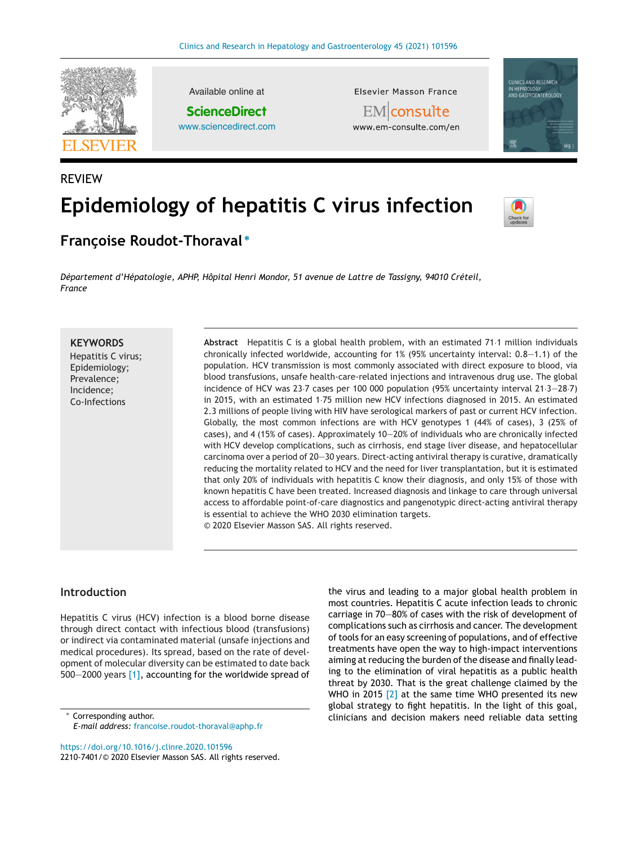

REVIEW

Available online at **ScienceDirect** [www.sciencedirect.com](http://www.sciencedirect.com/science/journal/22107401) Elsevier Masson France

EM|**consulte** www.em-consulte.com/en



# **Epidemiology of hepatitis C virus infection**



**Franc¸oise Roudot-Thoraval <sup>∗</sup>**

*Département d'Hépatologie, APHP, Hôpital Henri Mondor, 51 avenue de Lattre de Tassigny, 94010 Créteil, France*

## **KEYWORDS**

Hepatitis C virus; Epidemiology; Prevalence; Incidence; Co-Infections

**Abstract** Hepatitis C is a global health problem, with an estimated 71·1 million individuals chronically infected worldwide, accounting for 1% (95% uncertainty interval: 0.8—1.1) of the population. HCV transmission is most commonly associated with direct exposure to blood, via blood transfusions, unsafe health-care-related injections and intravenous drug use. The global incidence of HCV was 23·7 cases per 100 000 population (95% uncertainty interval 21·3—28·7) in 2015, with an estimated 1·75 million new HCV infections diagnosed in 2015. An estimated 2.3 millions of people living with HIV have serological markers of past or current HCV infection. Globally, the most common infections are with HCV genotypes 1 (44% of cases), 3 (25% of cases), and 4 (15% of cases). Approximately 10—20% of individuals who are chronically infected with HCV develop complications, such as cirrhosis, end stage liver disease, and hepatocellular carcinoma over a period of 20—30 years. Direct-acting antiviral therapy is curative, dramatically reducing the mortality related to HCV and the need for liver transplantation, but it is estimated that only 20% of individuals with hepatitis C know their diagnosis, and only 15% of those with known hepatitis C have been treated. Increased diagnosis and linkage to care through universal access to affordable point-of-care diagnostics and pangenotypic direct-acting antiviral therapy is essential to achieve the WHO 2030 elimination targets. © 2020 Elsevier Masson SAS. All rights reserved.

# **Introduction**

Hepatitis C virus (HCV) infection is a blood borne disease through direct contact with infectious blood (transfusions) or indirect via contaminated material (unsafe injections and medical procedures). Its spread, based on the rate of development of molecular diversity can be estimated to date back 500—2000 years [\[1\],](#page-4-0) accounting for the worldwide spread of

∗ Corresponding author. *E-mail address:* [francoise.roudot-thoraval@aphp.fr](mailto:francoise.roudot-thoraval@aphp.fr)

the virus and leading to a major global health problem in most countries. Hepatitis C acute infection leads to chronic carriage in 70—80% of cases with the risk of development of complications such as cirrhosis and cancer. The development of tools for an easy screening of populations, and of effective treatments have open the way to high-impact interventions aiming at reducing the burden of the disease and finally leading to the elimination of viral hepatitis as a public health threat by 2030. That is the great challenge claimed by the WHO in 2015 [\[2\]](#page-4-0) at the same time WHO presented its new global strategy to fight hepatitis. In the light of this goal, clinicians and decision makers need reliable data setting

<https://doi.org/10.1016/j.clinre.2020.101596> 2210-7401/© 2020 Elsevier Masson SAS. All rights reserved.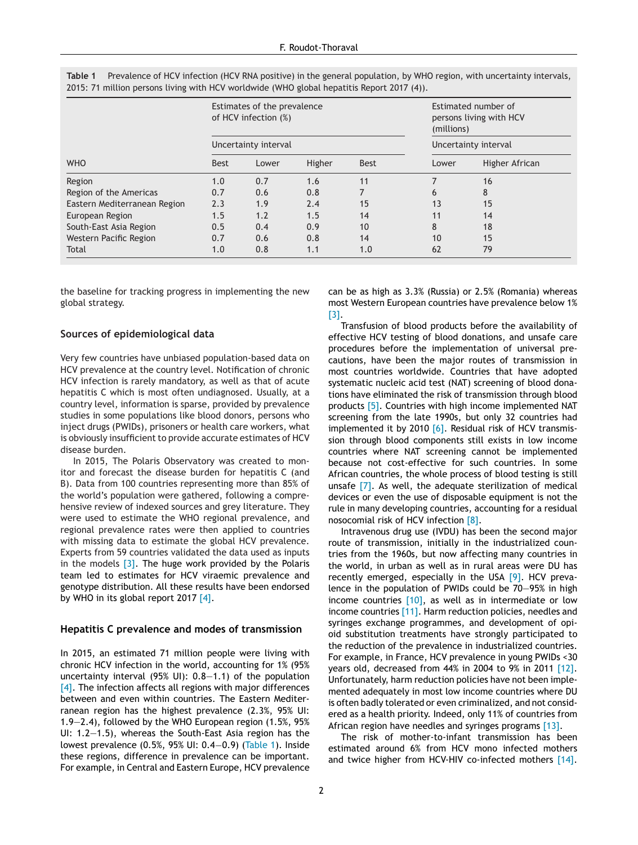|                              | Estimates of the prevalence<br>of HCV infection (%)<br>Uncertainty interval |       |        |             | Estimated number of<br>persons living with HCV<br>(millions)<br>Uncertainty interval |                |
|------------------------------|-----------------------------------------------------------------------------|-------|--------|-------------|--------------------------------------------------------------------------------------|----------------|
|                              |                                                                             |       |        |             |                                                                                      |                |
| <b>WHO</b>                   | <b>Best</b>                                                                 | Lower | Higher | <b>Best</b> | Lower                                                                                | Higher African |
| Region                       | 1.0                                                                         | 0.7   | 1.6    | 11          |                                                                                      | 16             |
| Region of the Americas       | 0.7                                                                         | 0.6   | 0.8    |             | 6                                                                                    | 8              |
| Eastern Mediterranean Region | 2.3                                                                         | 1.9   | 2.4    | 15          | 13                                                                                   | 15             |
| European Region              | 1.5                                                                         | 1.2   | 1.5    | 14          | 11                                                                                   | 14             |
| South-East Asia Region       | 0.5                                                                         | 0.4   | 0.9    | 10          | 8                                                                                    | 18             |
| Western Pacific Region       | 0.7                                                                         | 0.6   | 0.8    | 14          | 10                                                                                   | 15             |
| Total                        | 1.0                                                                         | 0.8   | 1.1    | 1.0         | 62                                                                                   | 79             |

**Table 1** Prevalence of HCV infection (HCV RNA positive) in the general population, by WHO region, with uncertainty intervals, 2015: 71 million persons living with HCV worldwide (WHO global hepatitis Report 2017 (4)).

the baseline for tracking progress in implementing the new global strategy.

#### **Sources of epidemiological data**

Very few countries have unbiased population-based data on HCV prevalence at the country level. Notification of chronic HCV infection is rarely mandatory, as well as that of acute hepatitis C which is most often undiagnosed. Usually, at a country level, information is sparse, provided by prevalence studies in some populations like blood donors, persons who inject drugs (PWIDs), prisoners or health care workers, what is obviously insufficient to provide accurate estimates of HCV disease burden.

In 2015, The Polaris Observatory was created to monitor and forecast the disease burden for hepatitis C (and B). Data from 100 countries representing more than 85% of the world's population were gathered, following a comprehensive review of indexed sources and grey literature. They were used to estimate the WHO regional prevalence, and regional prevalence rates were then applied to countries with missing data to estimate the global HCV prevalence. Experts from 59 countries validated the data used as inputs in the models  $[3]$ . The huge work provided by the Polaris team led to estimates for HCV viraemic prevalence and genotype distribution. All these results have been endorsed by WHO in its global report 2017 [\[4\].](#page-4-0)

#### **Hepatitis C prevalence and modes of transmission**

In 2015, an estimated 71 million people were living with chronic HCV infection in the world, accounting for 1% (95% uncertainty interval (95% UI): 0.8—1.1) of the population [\[4\].](#page-4-0) The infection affects all regions with major differences between and even within countries. The Eastern Mediterranean region has the highest prevalence (2.3%, 95% UI: 1.9—2.4), followed by the WHO European region (1.5%, 95% UI: 1.2—1.5), whereas the South-East Asia region has the lowest prevalence (0.5%, 95% UI: 0.4−0.9) (Table 1). Inside these regions, difference in prevalence can be important. For example, in Central and Eastern Europe, HCV prevalence

can be as high as 3.3% (Russia) or 2.5% (Romania) whereas most Western European countries have prevalence below 1% [\[3\].](#page-4-0)

Transfusion of blood products before the availability of effective HCV testing of blood donations, and unsafe care procedures before the implementation of universal precautions, have been the major routes of transmission in most countries worldwide. Countries that have adopted systematic nucleic acid test (NAT) screening of blood donations have eliminated the risk of transmission through blood products [\[5\].](#page-4-0) Countries with high income implemented NAT screening from the late 1990s, but only 32 countries had implemented it by 2010 [\[6\].](#page-4-0) Residual risk of HCV transmission through blood components still exists in low income countries where NAT screening cannot be implemented because not cost-effective for such countries. In some African countries, the whole process of blood testing is still unsafe [\[7\].](#page-5-0) As well, the adequate sterilization of medical devices or even the use of disposable equipment is not the rule in many developing countries, accounting for a residual nosocomial risk of HCV infection [\[8\].](#page-5-0)

Intravenous drug use (IVDU) has been the second major route of transmission, initially in the industrialized countries from the 1960s, but now affecting many countries in the world, in urban as well as in rural areas were DU has recently emerged, especially in the USA [\[9\].](#page-5-0) HCV prevalence in the population of PWIDs could be 70—95% in high income countries [\[10\],](#page-5-0) as well as in intermediate or low income countries [\[11\].](#page-5-0) Harm reduction policies, needles and syringes exchange programmes, and development of opioid substitution treatments have strongly participated to the reduction of the prevalence in industrialized countries. For example, in France, HCV prevalence in young PWIDs <30 years old, decreased from 44% in 2004 to 9% in 2011 [\[12\].](#page-5-0) Unfortunately, harm reduction policies have not been implemented adequately in most low income countries where DU is often badly tolerated or even criminalized, and not considered as a health priority. Indeed, only 11% of countries from African region have needles and syringes programs [\[13\].](#page-5-0)

The risk of mother-to-infant transmission has been estimated around 6% from HCV mono infected mothers and twice higher from HCV-HIV co-infected mothers [\[14\].](#page-5-0)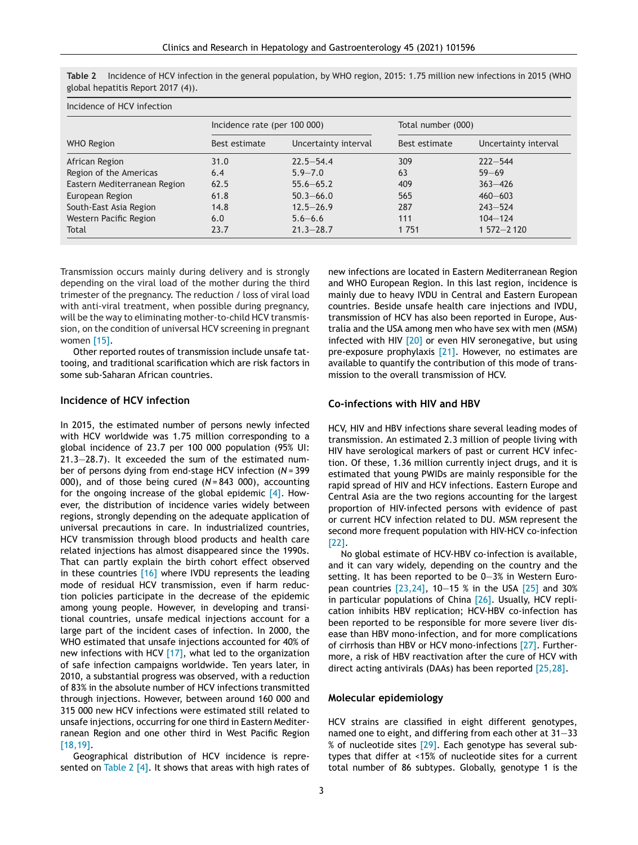| Table 2 Incidence of HCV infection in the general population, by WHO region, 2015: 1.75 million new infections in 2015 (WHO |  |  |
|-----------------------------------------------------------------------------------------------------------------------------|--|--|
| global hepatitis Report 2017 (4)).                                                                                          |  |  |

| Incidence of HCV infection   |                              |                      |                    |                      |  |  |  |  |  |
|------------------------------|------------------------------|----------------------|--------------------|----------------------|--|--|--|--|--|
|                              | Incidence rate (per 100 000) |                      | Total number (000) |                      |  |  |  |  |  |
| <b>WHO Region</b>            | Best estimate                | Uncertainty interval | Best estimate      | Uncertainty interval |  |  |  |  |  |
| African Region               | 31.0                         | $22.5 - 54.4$        | 309                | $222 - 544$          |  |  |  |  |  |
| Region of the Americas       | 6.4                          | $5.9 - 7.0$          | 63                 | $59 - 69$            |  |  |  |  |  |
| Eastern Mediterranean Region | 62.5                         | $55.6 - 65.2$        | 409                | $363 - 426$          |  |  |  |  |  |
| European Region              | 61.8                         | $50.3 - 66.0$        | 565                | $460 - 603$          |  |  |  |  |  |
| South-East Asia Region       | 14.8                         | $12.5 - 26.9$        | 287                | $243 - 524$          |  |  |  |  |  |
| Western Pacific Region       | 6.0                          | $5.6 - 6.6$          | 111                | $104 - 124$          |  |  |  |  |  |
| Total                        | 23.7                         | $21.3 - 28.7$        | 1751               | $1572 - 2120$        |  |  |  |  |  |

Transmission occurs mainly during delivery and is strongly depending on the viral load of the mother during the third trimester of the pregnancy. The reduction / loss of viral load with anti-viral treatment, when possible during pregnancy, will be the way to eliminating mother-to-child HCV transmission, on the condition of universal HCV screening in pregnant women [\[15\].](#page-5-0)

Other reported routes of transmission include unsafe tattooing, and traditional scarification which are risk factors in some sub-Saharan African countries.

# **Incidence of HCV infection**

In 2015, the estimated number of persons newly infected with HCV worldwide was 1.75 million corresponding to a global incidence of 23.7 per 100 000 population (95% UI: 21.3—28.7). It exceeded the sum of the estimated number of persons dying from end-stage HCV infection (*N* = 399 000), and of those being cured (*N* = 843 000), accounting for the ongoing increase of the global epidemic  $[4]$ . However, the distribution of incidence varies widely between regions, strongly depending on the adequate application of universal precautions in care. In industrialized countries, HCV transmission through blood products and health care related injections has almost disappeared since the 1990s. That can partly explain the birth cohort effect observed in these countries [\[16\]](#page-5-0) where IVDU represents the leading mode of residual HCV transmission, even if harm reduction policies participate in the decrease of the epidemic among young people. However, in developing and transitional countries, unsafe medical injections account for a large part of the incident cases of infection. In 2000, the WHO estimated that unsafe injections accounted for 40% of new infections with HCV  $[17]$ , what led to the organization of safe infection campaigns worldwide. Ten years later, in 2010, a substantial progress was observed, with a reduction of 83% in the absolute number of HCV infections transmitted through injections. However, between around 160 000 and 315 000 new HCV infections were estimated still related to unsafe injections, occurring for one third in Eastern Mediterranean Region and one other third in West Pacific Region [\[18,19\].](#page-5-0)

Geographical distribution of HCV incidence is represented on Table 2  $[4]$ . It shows that areas with high rates of new infections are located in Eastern Mediterranean Region and WHO European Region. In this last region, incidence is mainly due to heavy IVDU in Central and Eastern European countries. Beside unsafe health care injections and IVDU, transmission of HCV has also been reported in Europe, Australia and the USA among men who have sex with men (MSM) infected with HIV [\[20\]](#page-5-0) or even HIV seronegative, but using pre-exposure prophylaxis [\[21\].](#page-5-0) However, no estimates are available to quantify the contribution of this mode of transmission to the overall transmission of HCV.

#### **Co-infections with HIV and HBV**

HCV, HIV and HBV infections share several leading modes of transmission. An estimated 2.3 million of people living with HIV have serological markers of past or current HCV infection. Of these, 1.36 million currently inject drugs, and it is estimated that young PWIDs are mainly responsible for the rapid spread of HIV and HCV infections. Eastern Europe and Central Asia are the two regions accounting for the largest proportion of HIV-infected persons with evidence of past or current HCV infection related to DU. MSM represent the second more frequent population with HIV-HCV co-infection [\[22\].](#page-5-0)

No global estimate of HCV-HBV co-infection is available, and it can vary widely, depending on the country and the setting. It has been reported to be 0—3% in Western European countries [\[23,24\],](#page-5-0) 10—15 % in the USA [\[25\]](#page-5-0) and 30% in particular populations of China [\[26\].](#page-5-0) Usually, HCV replication inhibits HBV replication; HCV-HBV co-infection has been reported to be responsible for more severe liver disease than HBV mono-infection, and for more complications of cirrhosis than HBV or HCV mono-infections [\[27\].](#page-5-0) Furthermore, a risk of HBV reactivation after the cure of HCV with direct acting antivirals (DAAs) has been reported [\[25,28\].](#page-5-0)

#### **Molecular epidemiology**

HCV strains are classified in eight different genotypes, named one to eight, and differing from each other at 31—33 % of nucleotide sites [\[29\].](#page-5-0) Each genotype has several subtypes that differ at <15% of nucleotide sites for a current total number of 86 subtypes. Globally, genotype 1 is the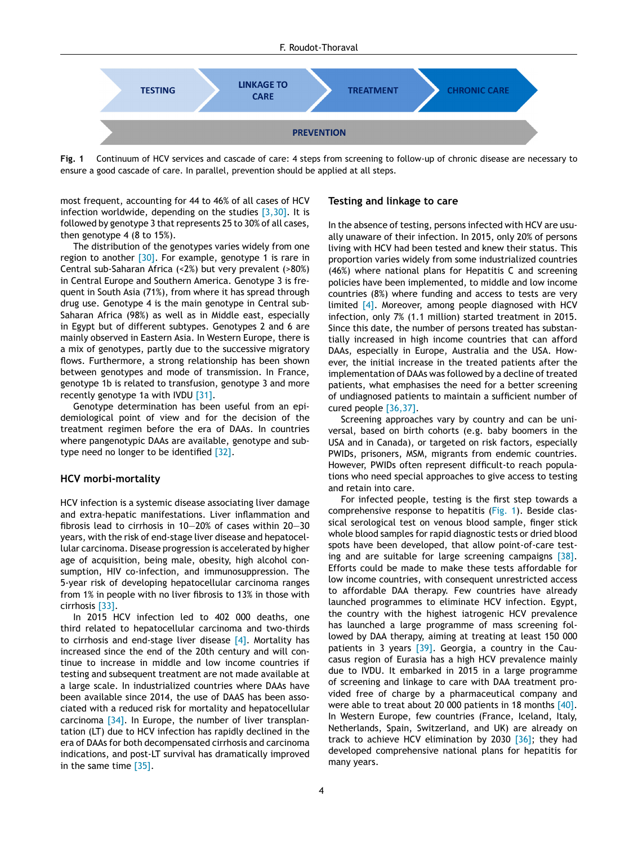

**Fig. 1** Continuum of HCV services and cascade of care: 4 steps from screening to follow-up of chronic disease are necessary to ensure a good cascade of care. In parallel, prevention should be applied at all steps.

most frequent, accounting for 44 to 46% of all cases of HCV infection worldwide, depending on the studies  $[3,30]$ . It is followed by genotype 3 that represents 25 to 30% of all cases, then genotype 4 (8 to 15%).

The distribution of the genotypes varies widely from one region to another  $[30]$ . For example, genotype 1 is rare in Central sub-Saharan Africa (<2%) but very prevalent (>80%) in Central Europe and Southern America. Genotype 3 is frequent in South Asia (71%), from where it has spread through drug use. Genotype 4 is the main genotype in Central sub-Saharan Africa (98%) as well as in Middle east, especially in Egypt but of different subtypes. Genotypes 2 and 6 are mainly observed in Eastern Asia. In Western Europe, there is a mix of genotypes, partly due to the successive migratory flows. Furthermore, a strong relationship has been shown between genotypes and mode of transmission. In France, genotype 1b is related to transfusion, genotype 3 and more recently genotype 1a with IVDU [\[31\].](#page-5-0)

Genotype determination has been useful from an epidemiological point of view and for the decision of the treatment regimen before the era of DAAs. In countries where pangenotypic DAAs are available, genotype and subtype need no longer to be identified [\[32\].](#page-5-0)

## **HCV morbi-mortality**

HCV infection is a systemic disease associating liver damage and extra-hepatic manifestations. Liver inflammation and fibrosis lead to cirrhosis in 10—20% of cases within 20—30 years, with the risk of end-stage liver disease and hepatocellular carcinoma. Disease progression is accelerated by higher age of acquisition, being male, obesity, high alcohol consumption, HIV co-infection, and immunosuppression. The 5-year risk of developing hepatocellular carcinoma ranges from 1% in people with no liver fibrosis to 13% in those with cirrhosis [\[33\].](#page-5-0)

In 2015 HCV infection led to 402 000 deaths, one third related to hepatocellular carcinoma and two-thirds to cirrhosis and end-stage liver disease [\[4\].](#page-4-0) Mortality has increased since the end of the 20th century and will continue to increase in middle and low income countries if testing and subsequent treatment are not made available at a large scale. In industrialized countries where DAAs have been available since 2014, the use of DAAS has been associated with a reduced risk for mortality and hepatocellular carcinoma [\[34\].](#page-5-0) In Europe, the number of liver transplantation (LT) due to HCV infection has rapidly declined in the era of DAAs for both decompensated cirrhosis and carcinoma indications, and post-LT survival has dramatically improved in the same time [\[35\].](#page-5-0)

#### **Testing and linkage to care**

In the absence of testing, persons infected with HCV are usually unaware of their infection. In 2015, only 20% of persons living with HCV had been tested and knew their status. This proportion varies widely from some industrialized countries (46%) where national plans for Hepatitis C and screening policies have been implemented, to middle and low income countries (8%) where funding and access to tests are very limited [\[4\].](#page-4-0) Moreover, among people diagnosed with HCV infection, only 7% (1.1 million) started treatment in 2015. Since this date, the number of persons treated has substantially increased in high income countries that can afford DAAs, especially in Europe, Australia and the USA. However, the initial increase in the treated patients after the implementation of DAAs was followed by a decline of treated patients, what emphasises the need for a better screening of undiagnosed patients to maintain a sufficient number of cured people [\[36,37\].](#page-5-0)

Screening approaches vary by country and can be universal, based on birth cohorts (e.g. baby boomers in the USA and in Canada), or targeted on risk factors, especially PWIDs, prisoners, MSM, migrants from endemic countries. However, PWIDs often represent difficult-to reach populations who need special approaches to give access to testing and retain into care.

For infected people, testing is the first step towards a comprehensive response to hepatitis (Fig. 1). Beside classical serological test on venous blood sample, finger stick whole blood samples for rapid diagnostic tests or dried blood spots have been developed, that allow point-of-care test-ing and are suitable for large screening campaigns [\[38\].](#page-5-0) Efforts could be made to make these tests affordable for low income countries, with consequent unrestricted access to affordable DAA therapy. Few countries have already launched programmes to eliminate HCV infection. Egypt, the country with the highest iatrogenic HCV prevalence has launched a large programme of mass screening followed by DAA therapy, aiming at treating at least 150 000 patients in 3 years  $[39]$ . Georgia, a country in the Caucasus region of Eurasia has a high HCV prevalence mainly due to IVDU. It embarked in 2015 in a large programme of screening and linkage to care with DAA treatment provided free of charge by a pharmaceutical company and were able to treat about 20 000 patients in 18 months [\[40\].](#page-5-0) In Western Europe, few countries (France, Iceland, Italy, Netherlands, Spain, Switzerland, and UK) are already on track to achieve HCV elimination by 2030 [\[36\];](#page-5-0) they had developed comprehensive national plans for hepatitis for many years.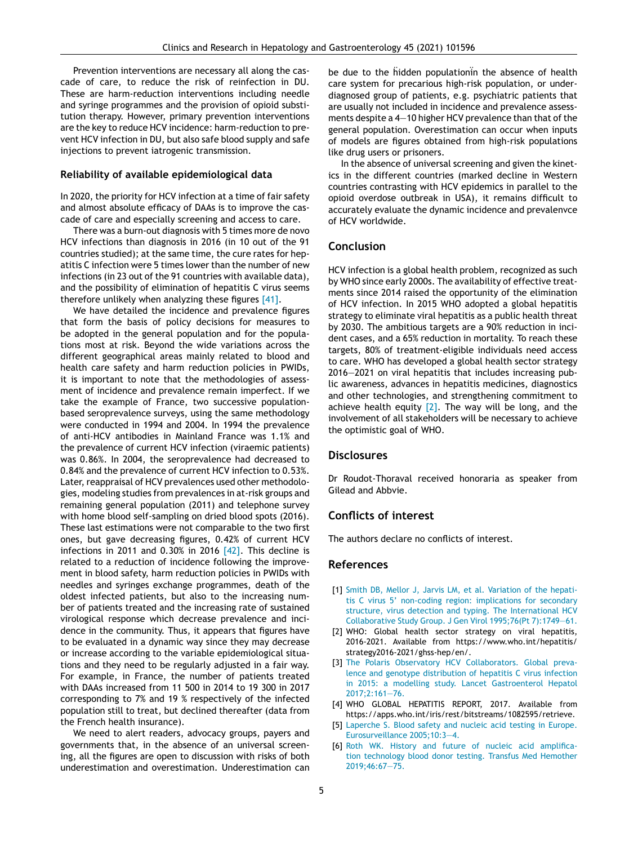<span id="page-4-0"></span>Prevention interventions are necessary all along the cascade of care, to reduce the risk of reinfection in DU. These are harm-reduction interventions including needle and syringe programmes and the provision of opioid substitution therapy. However, primary prevention interventions are the key to reduce HCV incidence: harm-reduction to prevent HCV infection in DU, but also safe blood supply and safe injections to prevent iatrogenic transmission.

#### **Reliability of available epidemiological data**

In 2020, the priority for HCV infection at a time of fair safety and almost absolute efficacy of DAAs is to improve the cascade of care and especially screening and access to care.

There was a burn-out diagnosis with 5 times more de novo HCV infections than diagnosis in 2016 (in 10 out of the 91 countries studied); at the same time, the cure rates for hepatitis C infection were 5 times lower than the number of new infections (in 23 out of the 91 countries with available data), and the possibility of elimination of hepatitis C virus seems therefore unlikely when analyzing these figures [\[41\].](#page-5-0)

We have detailed the incidence and prevalence figures that form the basis of policy decisions for measures to be adopted in the general population and for the populations most at risk. Beyond the wide variations across the different geographical areas mainly related to blood and health care safety and harm reduction policies in PWIDs, it is important to note that the methodologies of assessment of incidence and prevalence remain imperfect. If we take the example of France, two successive populationbased seroprevalence surveys, using the same methodology were conducted in 1994 and 2004. In 1994 the prevalence of anti-HCV antibodies in Mainland France was 1.1% and the prevalence of current HCV infection (viraemic patients) was 0.86%. In 2004, the seroprevalence had decreased to 0.84% and the prevalence of current HCV infection to 0.53%. Later, reappraisal of HCV prevalences used other methodologies, modeling studies from prevalences in at-risk groups and remaining general population (2011) and telephone survey with home blood self-sampling on dried blood spots (2016). These last estimations were not comparable to the two first ones, but gave decreasing figures, 0.42% of current HCV infections in 2011 and 0.30% in 2016  $[42]$ . This decline is related to a reduction of incidence following the improvement in blood safety, harm reduction policies in PWIDs with needles and syringes exchange programmes, death of the oldest infected patients, but also to the increasing number of patients treated and the increasing rate of sustained virological response which decrease prevalence and incidence in the community. Thus, it appears that figures have to be evaluated in a dynamic way since they may decrease or increase according to the variable epidemiological situations and they need to be regularly adjusted in a fair way. For example, in France, the number of patients treated with DAAs increased from 11 500 in 2014 to 19 300 in 2017 corresponding to 7% and 19 % respectively of the infected population still to treat, but declined thereafter (data from the French health insurance).

We need to alert readers, advocacy groups, payers and governments that, in the absence of an universal screening, all the figures are open to discussion with risks of both underestimation and overestimation. Underestimation can be due to the hidden populationin the absence of health care system for precarious high-risk population, or underdiagnosed group of patients, e.g. psychiatric patients that are usually not included in incidence and prevalence assessments despite a  $4-10$  higher HCV prevalence than that of the general population. Overestimation can occur when inputs of models are figures obtained from high-risk populations like drug users or prisoners.

In the absence of universal screening and given the kinetics in the different countries (marked decline in Western countries contrasting with HCV epidemics in parallel to the opioid overdose outbreak in USA), it remains difficult to accurately evaluate the dynamic incidence and prevalenvce of HCV worldwide.

# **Conclusion**

HCV infection is a global health problem, recognized as such by WHO since early 2000s. The availability of effective treatments since 2014 raised the opportunity of the elimination of HCV infection. In 2015 WHO adopted a global hepatitis strategy to eliminate viral hepatitis as a public health threat by 2030. The ambitious targets are a 90% reduction in incident cases, and a 65% reduction in mortality. To reach these targets, 80% of treatment-eligible individuals need access to care. WHO has developed a global health sector strategy 2016—2021 on viral hepatitis that includes increasing public awareness, advances in hepatitis medicines, diagnostics and other technologies, and strengthening commitment to achieve health equity  $[2]$ . The way will be long, and the involvement of all stakeholders will be necessary to achieve the optimistic goal of WHO.

# **Disclosures**

Dr Roudot-Thoraval received honoraria as speaker from Gilead and Abbvie.

# **Conflicts of interest**

The authors declare no conflicts of interest.

## **References**

- [1] [Smith](http://refhub.elsevier.com/S2210-7401(20)30362-4/sbref0005) [DB,](http://refhub.elsevier.com/S2210-7401(20)30362-4/sbref0005) [Mellor](http://refhub.elsevier.com/S2210-7401(20)30362-4/sbref0005) [J,](http://refhub.elsevier.com/S2210-7401(20)30362-4/sbref0005) [Jarvis](http://refhub.elsevier.com/S2210-7401(20)30362-4/sbref0005) [LM,](http://refhub.elsevier.com/S2210-7401(20)30362-4/sbref0005) [et](http://refhub.elsevier.com/S2210-7401(20)30362-4/sbref0005) [al.](http://refhub.elsevier.com/S2210-7401(20)30362-4/sbref0005) [Variation](http://refhub.elsevier.com/S2210-7401(20)30362-4/sbref0005) [of](http://refhub.elsevier.com/S2210-7401(20)30362-4/sbref0005) [the](http://refhub.elsevier.com/S2210-7401(20)30362-4/sbref0005) [hepati](http://refhub.elsevier.com/S2210-7401(20)30362-4/sbref0005)[tis](http://refhub.elsevier.com/S2210-7401(20)30362-4/sbref0005) [C](http://refhub.elsevier.com/S2210-7401(20)30362-4/sbref0005) [virus](http://refhub.elsevier.com/S2210-7401(20)30362-4/sbref0005) [5'](http://refhub.elsevier.com/S2210-7401(20)30362-4/sbref0005) [non-coding](http://refhub.elsevier.com/S2210-7401(20)30362-4/sbref0005) [region:](http://refhub.elsevier.com/S2210-7401(20)30362-4/sbref0005) [implications](http://refhub.elsevier.com/S2210-7401(20)30362-4/sbref0005) [for](http://refhub.elsevier.com/S2210-7401(20)30362-4/sbref0005) [secondary](http://refhub.elsevier.com/S2210-7401(20)30362-4/sbref0005) [structure,](http://refhub.elsevier.com/S2210-7401(20)30362-4/sbref0005) [virus](http://refhub.elsevier.com/S2210-7401(20)30362-4/sbref0005) [detection](http://refhub.elsevier.com/S2210-7401(20)30362-4/sbref0005) [and](http://refhub.elsevier.com/S2210-7401(20)30362-4/sbref0005) [typing.](http://refhub.elsevier.com/S2210-7401(20)30362-4/sbref0005) [The](http://refhub.elsevier.com/S2210-7401(20)30362-4/sbref0005) [International](http://refhub.elsevier.com/S2210-7401(20)30362-4/sbref0005) [HCV](http://refhub.elsevier.com/S2210-7401(20)30362-4/sbref0005) [Collaborative](http://refhub.elsevier.com/S2210-7401(20)30362-4/sbref0005) [Study](http://refhub.elsevier.com/S2210-7401(20)30362-4/sbref0005) [Group.](http://refhub.elsevier.com/S2210-7401(20)30362-4/sbref0005) [J](http://refhub.elsevier.com/S2210-7401(20)30362-4/sbref0005) [Gen](http://refhub.elsevier.com/S2210-7401(20)30362-4/sbref0005) [Virol](http://refhub.elsevier.com/S2210-7401(20)30362-4/sbref0005) [1995;76\(Pt](http://refhub.elsevier.com/S2210-7401(20)30362-4/sbref0005) [7\):1749](http://refhub.elsevier.com/S2210-7401(20)30362-4/sbref0005)—[61.](http://refhub.elsevier.com/S2210-7401(20)30362-4/sbref0005)
- [2] WHO: Global health sector strategy on viral hepatitis, 2016-2021. Available from https://www.who.int/hepatitis/ strategy2016-2021/ghss-hep/en/.
- [3] [The](http://refhub.elsevier.com/S2210-7401(20)30362-4/sbref0010) [Polaris](http://refhub.elsevier.com/S2210-7401(20)30362-4/sbref0010) [Observatory](http://refhub.elsevier.com/S2210-7401(20)30362-4/sbref0010) [HCV](http://refhub.elsevier.com/S2210-7401(20)30362-4/sbref0010) [Collaborators.](http://refhub.elsevier.com/S2210-7401(20)30362-4/sbref0010) [Global](http://refhub.elsevier.com/S2210-7401(20)30362-4/sbref0010) [preva](http://refhub.elsevier.com/S2210-7401(20)30362-4/sbref0010)[lence](http://refhub.elsevier.com/S2210-7401(20)30362-4/sbref0010) [and](http://refhub.elsevier.com/S2210-7401(20)30362-4/sbref0010) [genotype](http://refhub.elsevier.com/S2210-7401(20)30362-4/sbref0010) [distribution](http://refhub.elsevier.com/S2210-7401(20)30362-4/sbref0010) [of](http://refhub.elsevier.com/S2210-7401(20)30362-4/sbref0010) [hepatitis](http://refhub.elsevier.com/S2210-7401(20)30362-4/sbref0010) [C](http://refhub.elsevier.com/S2210-7401(20)30362-4/sbref0010) [virus](http://refhub.elsevier.com/S2210-7401(20)30362-4/sbref0010) [infection](http://refhub.elsevier.com/S2210-7401(20)30362-4/sbref0010) [in](http://refhub.elsevier.com/S2210-7401(20)30362-4/sbref0010) [2015:](http://refhub.elsevier.com/S2210-7401(20)30362-4/sbref0010) [a](http://refhub.elsevier.com/S2210-7401(20)30362-4/sbref0010) [modelling](http://refhub.elsevier.com/S2210-7401(20)30362-4/sbref0010) [study.](http://refhub.elsevier.com/S2210-7401(20)30362-4/sbref0010) [Lancet](http://refhub.elsevier.com/S2210-7401(20)30362-4/sbref0010) [Gastroenterol](http://refhub.elsevier.com/S2210-7401(20)30362-4/sbref0010) [Hepatol](http://refhub.elsevier.com/S2210-7401(20)30362-4/sbref0010) [2017;2:161](http://refhub.elsevier.com/S2210-7401(20)30362-4/sbref0010)—[76.](http://refhub.elsevier.com/S2210-7401(20)30362-4/sbref0010)
- [4] WHO GLOBAL HEPATITIS REPORT, 2017. Available from https://apps.who.int/iris/rest/bitstreams/1082595/retrieve.
- [5] [Laperche](http://refhub.elsevier.com/S2210-7401(20)30362-4/sbref0015) [S.](http://refhub.elsevier.com/S2210-7401(20)30362-4/sbref0015) [Blood](http://refhub.elsevier.com/S2210-7401(20)30362-4/sbref0015) [safety](http://refhub.elsevier.com/S2210-7401(20)30362-4/sbref0015) [and](http://refhub.elsevier.com/S2210-7401(20)30362-4/sbref0015) [nucleic](http://refhub.elsevier.com/S2210-7401(20)30362-4/sbref0015) [acid](http://refhub.elsevier.com/S2210-7401(20)30362-4/sbref0015) [testing](http://refhub.elsevier.com/S2210-7401(20)30362-4/sbref0015) [in](http://refhub.elsevier.com/S2210-7401(20)30362-4/sbref0015) [Europe.](http://refhub.elsevier.com/S2210-7401(20)30362-4/sbref0015) [Eurosurveillance](http://refhub.elsevier.com/S2210-7401(20)30362-4/sbref0015) [2005;10:3](http://refhub.elsevier.com/S2210-7401(20)30362-4/sbref0015)—[4.](http://refhub.elsevier.com/S2210-7401(20)30362-4/sbref0015)
- [6] [Roth](http://refhub.elsevier.com/S2210-7401(20)30362-4/sbref0020) [WK.](http://refhub.elsevier.com/S2210-7401(20)30362-4/sbref0020) [History](http://refhub.elsevier.com/S2210-7401(20)30362-4/sbref0020) [and](http://refhub.elsevier.com/S2210-7401(20)30362-4/sbref0020) [future](http://refhub.elsevier.com/S2210-7401(20)30362-4/sbref0020) [of](http://refhub.elsevier.com/S2210-7401(20)30362-4/sbref0020) [nucleic](http://refhub.elsevier.com/S2210-7401(20)30362-4/sbref0020) [acid](http://refhub.elsevier.com/S2210-7401(20)30362-4/sbref0020) [amplifica](http://refhub.elsevier.com/S2210-7401(20)30362-4/sbref0020)[tion](http://refhub.elsevier.com/S2210-7401(20)30362-4/sbref0020) [technology](http://refhub.elsevier.com/S2210-7401(20)30362-4/sbref0020) [blood](http://refhub.elsevier.com/S2210-7401(20)30362-4/sbref0020) [donor](http://refhub.elsevier.com/S2210-7401(20)30362-4/sbref0020) [testing.](http://refhub.elsevier.com/S2210-7401(20)30362-4/sbref0020) [Transfus](http://refhub.elsevier.com/S2210-7401(20)30362-4/sbref0020) [Med](http://refhub.elsevier.com/S2210-7401(20)30362-4/sbref0020) [Hemother](http://refhub.elsevier.com/S2210-7401(20)30362-4/sbref0020) [2019;46:67—75.](http://refhub.elsevier.com/S2210-7401(20)30362-4/sbref0020)